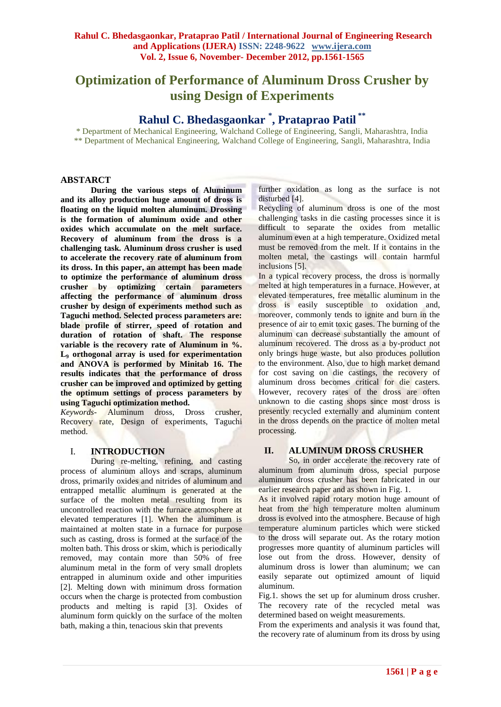# **Optimization of Performance of Aluminum Dross Crusher by using Design of Experiments**

# **Rahul C. Bhedasgaonkar \* , Prataprao Patil \*\***

\* Department of Mechanical Engineering, Walchand College of Engineering, Sangli, Maharashtra, India \*\* Department of Mechanical Engineering, Walchand College of Engineering, Sangli, Maharashtra, India

#### **ABSTARCT**

**During the various steps of Aluminum and its alloy production huge amount of dross is floating on the liquid molten aluminum. Drossing is the formation of aluminum oxide and other oxides which accumulate on the melt surface. Recovery of aluminum from the dross is a challenging task. Aluminum dross crusher is used to accelerate the recovery rate of aluminum from its dross. In this paper, an attempt has been made to optimize the performance of aluminum dross crusher by optimizing certain parameters affecting the performance of aluminum dross crusher by design of experiments method such as Taguchi method. Selected process parameters are: blade profile of stirrer, speed of rotation and duration of rotation of shaft. The response variable is the recovery rate of Aluminum in %. L<sup>9</sup> orthogonal array is used for experimentation and ANOVA is performed by Minitab 16. The results indicates that the performance of dross crusher can be improved and optimized by getting the optimum settings of process parameters by using Taguchi optimization method.** 

*Keywords-* Aluminum dross, Dross crusher, Recovery rate, Design of experiments, Taguchi method.

#### I. **INTRODUCTION**

During re-melting, refining, and casting process of aluminum alloys and scraps, aluminum dross, primarily oxides and nitrides of aluminum and entrapped metallic aluminum is generated at the surface of the molten metal resulting from its uncontrolled reaction with the furnace atmosphere at elevated temperatures [1]. When the aluminum is maintained at molten state in a furnace for purpose such as casting, dross is formed at the surface of the molten bath. This dross or skim, which is periodically removed, may contain more than 50% of free aluminum metal in the form of very small droplets entrapped in aluminum oxide and other impurities [2]. Melting down with minimum dross formation occurs when the charge is protected from combustion products and melting is rapid [3]. Oxides of aluminum form quickly on the surface of the molten bath, making a thin, tenacious skin that prevents

further oxidation as long as the surface is not disturbed [4].

Recycling of aluminum dross is one of the most challenging tasks in die casting processes since it is difficult to separate the oxides from metallic aluminum even at a high temperature. Oxidized metal must be removed from the melt. If it contains in the molten metal, the castings will contain harmful inclusions [5].

In a typical recovery process, the dross is normally melted at high temperatures in a furnace. However, at elevated temperatures, free metallic aluminum in the dross is easily susceptible to oxidation and, moreover, commonly tends to ignite and burn in the presence of air to emit toxic gases. The burning of the aluminum can decrease substantially the amount of aluminum recovered. The dross as a by-product not only brings huge waste, but also produces pollution to the environment. Also, due to high market demand for cost saving on die castings, the recovery of aluminum dross becomes critical for die casters. However, recovery rates of the dross are often unknown to die casting shops since most dross is presently recycled externally and aluminum content in the dross depends on the practice of molten metal processing.

## **II. ALUMINUM DROSS CRUSHER**

So, in order accelerate the recovery rate of aluminum from aluminum dross, special purpose aluminum dross crusher has been fabricated in our earlier research paper and as shown in Fig. 1.

As it involved rapid rotary motion huge amount of heat from the high temperature molten aluminum dross is evolved into the atmosphere. Because of high temperature aluminum particles which were sticked to the dross will separate out. As the rotary motion progresses more quantity of aluminum particles will lose out from the dross. However, density of aluminum dross is lower than aluminum; we can easily separate out optimized amount of liquid aluminum.

Fig.1. shows the set up for aluminum dross crusher. The recovery rate of the recycled metal was determined based on weight measurements.

From the experiments and analysis it was found that, the recovery rate of aluminum from its dross by using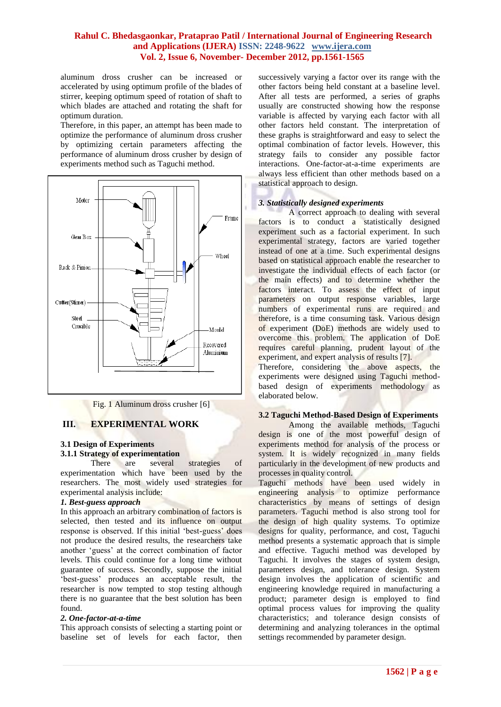aluminum dross crusher can be increased or accelerated by using optimum profile of the blades of stirrer, keeping optimum speed of rotation of shaft to which blades are attached and rotating the shaft for optimum duration.

Therefore, in this paper, an attempt has been made to optimize the performance of aluminum dross crusher by optimizing certain parameters affecting the performance of aluminum dross crusher by design of experiments method such as Taguchi method.



Fig. 1 Aluminum dross crusher [6]

## **III. EXPERIMENTAL WORK**

## **3.1 Design of Experiments 3.1.1 Strategy of experimentation**

There are several strategies of experimentation which have been used by the researchers. The most widely used strategies for experimental analysis include:

#### *1. Best-guess approach*

In this approach an arbitrary combination of factors is selected, then tested and its influence on output response is observed. If this initial 'best-guess' does not produce the desired results, the researchers take another "guess" at the correct combination of factor levels. This could continue for a long time without guarantee of success. Secondly, suppose the initial "best-guess" produces an acceptable result, the researcher is now tempted to stop testing although there is no guarantee that the best solution has been found.

#### *2. One-factor-at-a-time*

This approach consists of selecting a starting point or baseline set of levels for each factor, then

successively varying a factor over its range with the other factors being held constant at a baseline level. After all tests are performed, a series of graphs usually are constructed showing how the response variable is affected by varying each factor with all other factors held constant. The interpretation of these graphs is straightforward and easy to select the optimal combination of factor levels. However, this strategy fails to consider any possible factor interactions. One-factor-at-a-time experiments are always less efficient than other methods based on a statistical approach to design.

#### *3. Statistically designed experiments*

A correct approach to dealing with several factors is to conduct a statistically designed experiment such as a factorial experiment. In such experimental strategy, factors are varied together instead of one at a time. Such experimental designs based on statistical approach enable the researcher to investigate the individual effects of each factor (or the main effects) and to determine whether the factors interact. To assess the effect of input parameters on output response variables, large numbers of experimental runs are required and therefore, is a time consuming task. Various design of experiment (DoE) methods are widely used to overcome this problem. The application of DoE requires careful planning, prudent layout of the experiment, and expert analysis of results [7].

Therefore, considering the above aspects, the experiments were designed using Taguchi methodbased design of experiments methodology as elaborated below.

#### **3.2 Taguchi Method-Based Design of Experiments**

Among the available methods, Taguchi design is one of the most powerful design of experiments method for analysis of the process or system. It is widely recognized in many fields particularly in the development of new products and processes in quality control.

Taguchi methods have been used widely in engineering analysis to optimize performance characteristics by means of settings of design parameters. Taguchi method is also strong tool for the design of high quality systems. To optimize designs for quality, performance, and cost, Taguchi method presents a systematic approach that is simple and effective. Taguchi method was developed by Taguchi. It involves the stages of system design, parameters design, and tolerance design. System design involves the application of scientific and engineering knowledge required in manufacturing a product; parameter design is employed to find optimal process values for improving the quality characteristics; and tolerance design consists of determining and analyzing tolerances in the optimal settings recommended by parameter design.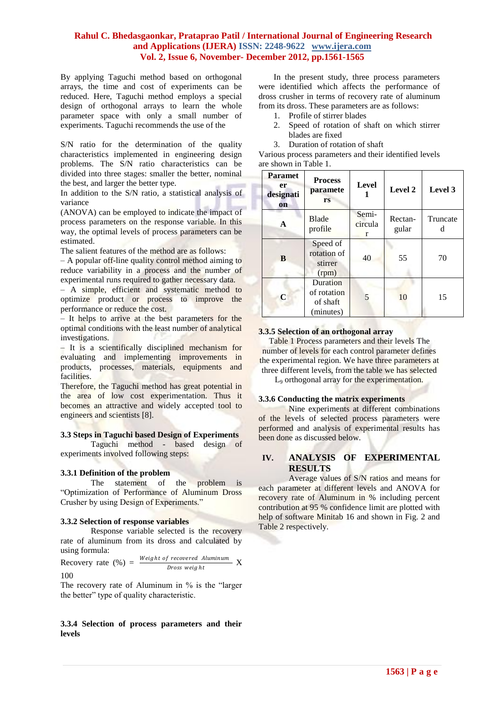By applying Taguchi method based on orthogonal arrays, the time and cost of experiments can be reduced. Here, Taguchi method employs a special design of orthogonal arrays to learn the whole parameter space with only a small number of experiments. Taguchi recommends the use of the

S/N ratio for the determination of the quality characteristics implemented in engineering design problems. The S/N ratio characteristics can be divided into three stages: smaller the better, nominal the best, and larger the better type.

In addition to the S/N ratio, a statistical analysis of variance

(ANOVA) can be employed to indicate the impact of process parameters on the response variable. In this way, the optimal levels of process parameters can be estimated.

The salient features of the method are as follows:

– A popular off-line quality control method aiming to reduce variability in a process and the number of experimental runs required to gather necessary data.

– A simple, efficient and systematic method to optimize product or process to improve the performance or reduce the cost.

– It helps to arrive at the best parameters for the optimal conditions with the least number of analytical investigations.

– It is a scientifically disciplined mechanism for evaluating and implementing improvements in products, processes, materials, equipments and facilities.

Therefore, the Taguchi method has great potential in the area of low cost experimentation. Thus it becomes an attractive and widely accepted tool to engineers and scientists [8].

#### **3.3 Steps in Taguchi based Design of Experiments**

Taguchi method - based design of experiments involved following steps:

#### **3.3.1 Definition of the problem**

The statement of the problem is "Optimization of Performance of Aluminum Dross Crusher by using Design of Experiments."

#### **3.3.2 Selection of response variables**

Response variable selected is the recovery rate of aluminum from its dross and calculated by using formula:

Recovery rate  $(\%) = \frac{Weight \ of \ recovered \ Aluminum}{D_{\text{meas} \, miskt}} X$ Dross weight 100

The recovery rate of Aluminum in % is the "larger the better" type of quality characteristic.

#### **3.3.4 Selection of process parameters and their levels**

In the present study, three process parameters were identified which affects the performance of dross crusher in terms of recovery rate of aluminum from its dross. These parameters are as follows:

- 1. Profile of stirrer blades
- 2. Speed of rotation of shaft on which stirrer blades are fixed
- 3. Duration of rotation of shaft

Various process parameters and their identified levels are shown in Table 1.

| <b>Paramet</b><br>er<br>designati<br><b>on</b> | <b>Process</b><br>paramete<br>rs                 | <b>Level</b>          | Level 2          | Level 3       |
|------------------------------------------------|--------------------------------------------------|-----------------------|------------------|---------------|
| A                                              | Blade<br>profile                                 | Semi-<br>circula<br>r | Rectan-<br>gular | Truncate<br>d |
| B                                              | Speed of<br>rotation of<br>stirrer<br>(rpm)      | 40                    | 55               | 70            |
| C                                              | Duration<br>of rotation<br>of shaft<br>(minutes) |                       | 10               | 15            |

#### **3.3.5 Selection of an orthogonal array**

Table 1 Process parameters and their levels The number of levels for each control parameter defines the experimental region. We have three parameters at three different levels, from the table we has selected

L<sup>9</sup> orthogonal array for the experimentation.

#### **3.3.6 Conducting the matrix experiments**

Nine experiments at different combinations of the levels of selected process parameters were performed and analysis of experimental results has been done as discussed below.

## **IV. ANALYSIS OF EXPERIMENTAL RESULTS**

Average values of S/N ratios and means for each parameter at different levels and ANOVA for recovery rate of Aluminum in % including percent contribution at 95 % confidence limit are plotted with help of software Minitab 16 and shown in Fig. 2 and Table 2 respectively.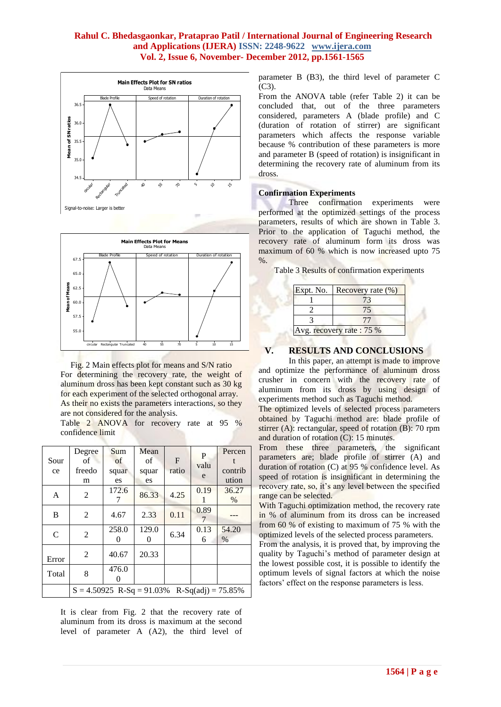



Fig. 2 Main effects plot for means and S/N ratio For determining the recovery rate, the weight of aluminum dross has been kept constant such as 30 kg for each experiment of the selected orthogonal array. As their no exists the parameters interactions, so they are not considered for the analysis.

Table 2 ANOVA for recovery rate at 95 % confidence limit

|              | Degree                      | Sum      | Mean  |              | P    | Percen               |
|--------------|-----------------------------|----------|-------|--------------|------|----------------------|
| Sour         | $\sigma$ f                  | of       | of    | $\mathbf{F}$ | valu |                      |
| ce           | freedo                      | squar    | squar | ratio        |      | contrib              |
|              | m                           | es       | es    |              | e    | ution                |
|              |                             | 172.6    |       |              | 0.19 | 36.27                |
| $\mathbf{A}$ | 2                           | 7        | 86.33 | 4.25         |      | $\%$                 |
|              |                             |          |       |              | 0.89 |                      |
| B            | $\overline{2}$              | 4.67     | 2.33  | 0.11         | 7    |                      |
|              |                             | 258.0    | 129.0 |              | 0.13 | 54.20                |
| $\mathsf{C}$ | 2                           | 0        | 0     | 6.34         | 6    | $\%$                 |
|              | 2                           | 40.67    | 20.33 |              |      |                      |
| Error        |                             |          |       |              |      |                      |
|              |                             | 476.0    |       |              |      |                      |
| Total        | 8                           | $\Omega$ |       |              |      |                      |
|              | $S = 4.50925$ R-Sq = 91.03% |          |       |              |      | $R-Sq(adi) = 75.85%$ |

It is clear from Fig. 2 that the recovery rate of aluminum from its dross is maximum at the second level of parameter A (A2), the third level of parameter B (B3), the third level of parameter C  $(C3)$ .

From the ANOVA table (refer Table 2) it can be concluded that, out of the three parameters considered, parameters A (blade profile) and C (duration of rotation of stirrer) are significant parameters which affects the response variable because % contribution of these parameters is more and parameter B (speed of rotation) is insignificant in determining the recovery rate of aluminum from its dross.

## **Confirmation Experiments**

Three confirmation experiments were performed at the optimized settings of the process parameters, results of which are shown in Table 3. Prior to the application of Taguchi method, the recovery rate of aluminum form its dross was maximum of 60 % which is now increased upto 75  $%$ .

|  |  |  | Table 3 Results of confirmation experiments |  |
|--|--|--|---------------------------------------------|--|
|--|--|--|---------------------------------------------|--|

| Expt. No.                 | Recovery rate $(\% )$ |
|---------------------------|-----------------------|
|                           |                       |
|                           |                       |
|                           |                       |
| Avg. recovery rate : 75 % |                       |

## **V. RESULTS AND CONCLUSIONS**

In this paper, an attempt is made to improve and optimize the performance of aluminum dross crusher in concern with the recovery rate of aluminum from its dross by using design of experiments method such as Taguchi method.

The optimized levels of selected process parameters obtained by Taguchi method are: blade profile of stirrer (A): rectangular, speed of rotation (B): 70 rpm and duration of rotation (C): 15 minutes.

From these three parameters, the significant parameters are; blade profile of stirrer (A) and duration of rotation (C) at 95 % confidence level. As speed of rotation is insignificant in determining the recovery rate, so, it's any level between the specified range can be selected.

With Taguchi optimization method, the recovery rate in % of aluminum from its dross can be increased from 60 % of existing to maximum of 75 % with the optimized levels of the selected process parameters.

From the analysis, it is proved that, by improving the quality by Taguchi"s method of parameter design at the lowest possible cost, it is possible to identify the optimum levels of signal factors at which the noise factors' effect on the response parameters is less.